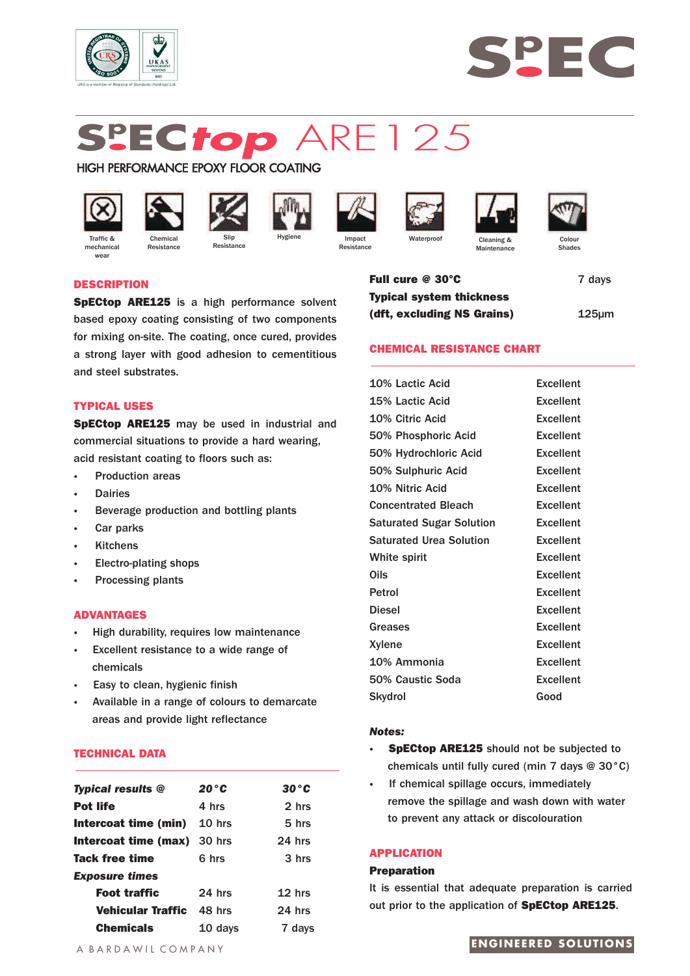



# **Sp EC***top* ARE125

# HIGH PERFORMANCE EPOXY FLOOR COATING



mechanica wear



**Resistance** 



**Resistance** 











Cleaning & **Maintenance** 

Shades

# **DESCRIPTION**

**SpECtop ARE125** is a high performance solvent based epoxy coating consisting of two components for mixing on-site. The coating, once cured, provides a strong layer with good adhesion to cementitious and steel substrates.

# **TYPICAL USES**

**SpECtop ARE125** may be used in industrial and commercial situations to provide a hard wearing, acid resistant coating to floors such as:

- **·** Production areas
- **·** Dairies
- **·** Beverage production and bottling plants
- **·** Car parks
- **·** Kitchens
- **·** Electro-plating shops
- **·** Processing plants

#### **ADVANTAGES**

- **·** High durability, requires low maintenance
- Excellent resistance to a wide range of chemicals
- **·** Easy to clean, hygienic finish
- **·** Available in a range of colours to demarcate areas and provide light reflectance

# **TECHNICAL DATA**

| <b>Typical results @</b>           | $20^{\circ}$ C    | 30 ° C            |
|------------------------------------|-------------------|-------------------|
| <b>Pot life</b>                    | 4 hrs             | 2 hrs             |
| Intercoat time (min)               | 10 <sub>hrs</sub> | 5 <sub>hrs</sub>  |
| <b>Intercoat time (max)</b> 30 hrs |                   | $24$ hrs          |
| Tack free time                     | 6 hrs             | 3 hrs             |
| <b>Exposure times</b>              |                   |                   |
| <b>Foot traffic</b>                | $24$ hrs          | 12 <sub>hrs</sub> |
| Vehicular Traffic                  | 48 hrs            | $24$ hrs          |
| <b>Chemicals</b>                   | 10 days           | 7 days            |

**Full cure @ 30°C** 7 days **Typical system thickness (dft, excluding NS Grains)** 125µm

# **CHEMICAL RESISTANCE CHART**

| 10% Lactic Acid                 | <b>Excellent</b> |
|---------------------------------|------------------|
| 15% Lactic Acid                 | <b>Excellent</b> |
| 10% Citric Acid                 | <b>Excellent</b> |
| 50% Phosphoric Acid             | <b>Excellent</b> |
| 50% Hydrochloric Acid           | <b>Excellent</b> |
| 50% Sulphuric Acid              | <b>Excellent</b> |
| 10% Nitric Acid                 | <b>Excellent</b> |
| <b>Concentrated Bleach</b>      | <b>Excellent</b> |
| <b>Saturated Sugar Solution</b> | Excellent        |
| <b>Saturated Urea Solution</b>  | <b>Excellent</b> |
| White spirit                    | <b>Excellent</b> |
| Oils                            | <b>Excellent</b> |
| Petrol                          | <b>Excellent</b> |
| <b>Diesel</b>                   | <b>Excellent</b> |
| Greases                         | <b>Excellent</b> |
| Xylene                          | <b>Excellent</b> |
| 10% Ammonia                     | <b>Excellent</b> |
| 50% Caustic Soda                | <b>Excellent</b> |
| Skydrol                         | Good             |
|                                 |                  |

#### *Notes:*

- **· SpECtop ARE125** should not be subjected to chemicals until fully cured (min 7 days @ 30°C)
- **·** If chemical spillage occurs, immediately remove the spillage and wash down with water to prevent any attack or discolouration

### **APPLICATION**

# **Preparation**

It is essential that adequate preparation is carried out prior to the application of **SpECtop ARE125**.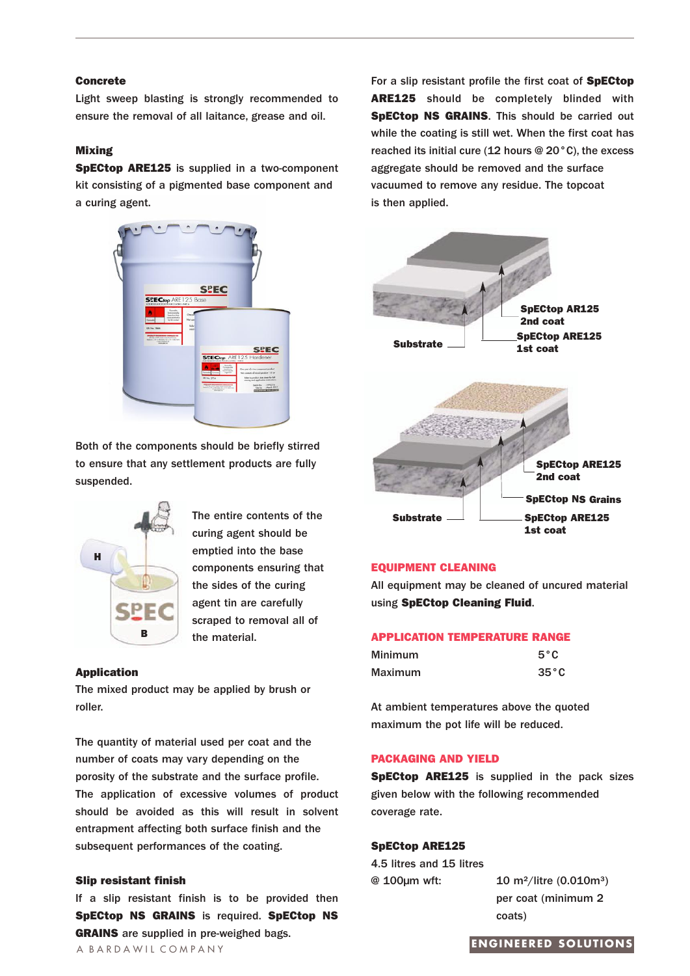# **Concrete**

Light sweep blasting is strongly recommended to ensure the removal of all laitance, grease and oil.

# **Mixing**

**SpECtop ARE125** is supplied in a two-component kit consisting of a pigmented base component and a curing agent.



Both of the components should be briefly stirred to ensure that any settlement products are fully suspended.



The entire contents of the curing agent should be emptied into the base components ensuring that the sides of the curing agent tin are carefully scraped to removal all of the material.

#### **Application**

The mixed product may be applied by brush or roller.

The quantity of material used per coat and the number of coats may vary depending on the porosity of the substrate and the surface profile. The application of excessive volumes of product should be avoided as this will result in solvent entrapment affecting both surface finish and the subsequent performances of the coating.

# **Slip resistant finish**

If a slip resistant finish is to be provided then **SpECtop NS GRAINS** is required. **SpECtop NS GRAINS** are supplied in pre-weighed bags. **ENGINEERED SOLUTIONS** 

For a slip resistant profile the first coat of **SpECtop ARE125** should be completely blinded with **SpECtop NS GRAINS**. This should be carried out while the coating is still wet. When the first coat has reached its initial cure (12 hours @ 20°C), the excess aggregate should be removed and the surface vacuumed to remove any residue. The topcoat is then applied.



# **EQUIPMENT CLEANING**

All equipment may be cleaned of uncured material using **SpECtop Cleaning Fluid**.

#### **APPLICATION TEMPERATURE RANGE**

| <b>Minimum</b> | $5^{\circ}$ C  |
|----------------|----------------|
| <b>Maximum</b> | $35^{\circ}$ C |

At ambient temperatures above the quoted maximum the pot life will be reduced.

### **PACKAGING AND YIELD**

**SpECtop ARE125** is supplied in the pack sizes given below with the following recommended coverage rate.

# **SpECtop ARE125**

4.5 litres and 15 litres @ 100µm wft: 10 m²/litre (0.010m³)

per coat (minimum 2 coats)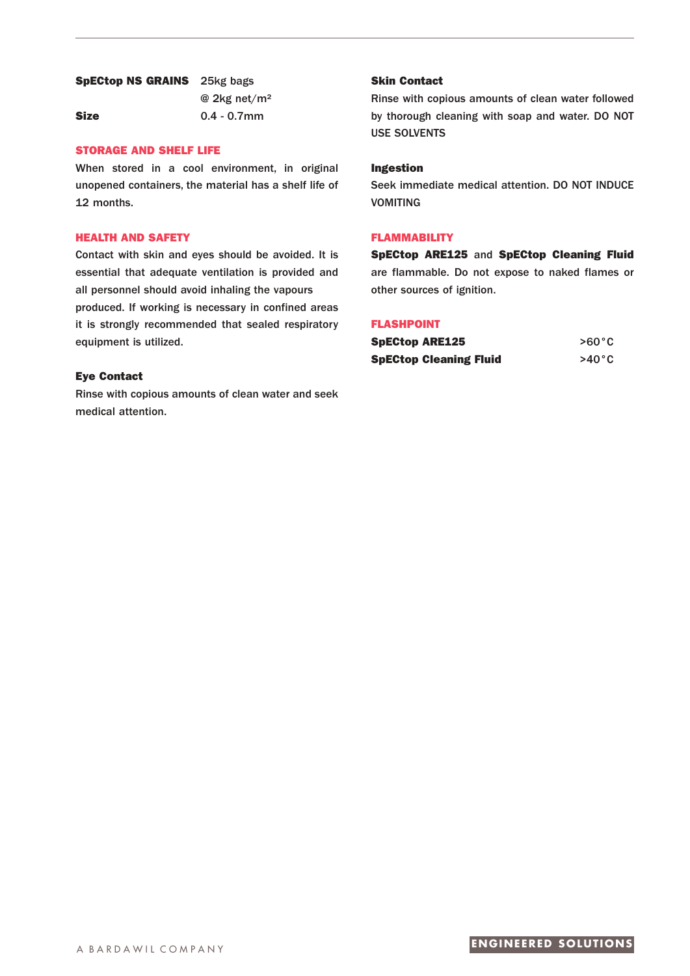# **SpECtop NS GRAINS** 25kg bags

@ 2kg net/m² **Size** 0.4 - 0.7mm

# **STORAGE AND SHELF LIFE**

When stored in a cool environment, in original unopened containers, the material has a shelf life of 12 months.

# **HEALTH AND SAFETY**

Contact with skin and eyes should be avoided. It is essential that adequate ventilation is provided and all personnel should avoid inhaling the vapours produced. If working is necessary in confined areas it is strongly recommended that sealed respiratory equipment is utilized.

# **Eye Contact**

Rinse with copious amounts of clean water and seek medical attention.

# **Skin Contact**

Rinse with copious amounts of clean water followed by thorough cleaning with soap and water. DO NOT USE SOLVENTS

# **Ingestion**

Seek immediate medical attention. DO NOT INDUCE VOMITING

### **FLAMMABILITY**

**SpECtop ARE125** and **SpECtop Cleaning Fluid** are flammable. Do not expose to naked flames or other sources of ignition.

# **FLASHPOINT**

| <b>SpECtop ARE125</b>         | $>60^{\circ}$ C |
|-------------------------------|-----------------|
| <b>SpECtop Cleaning Fluid</b> | $>40^{\circ}$ C |